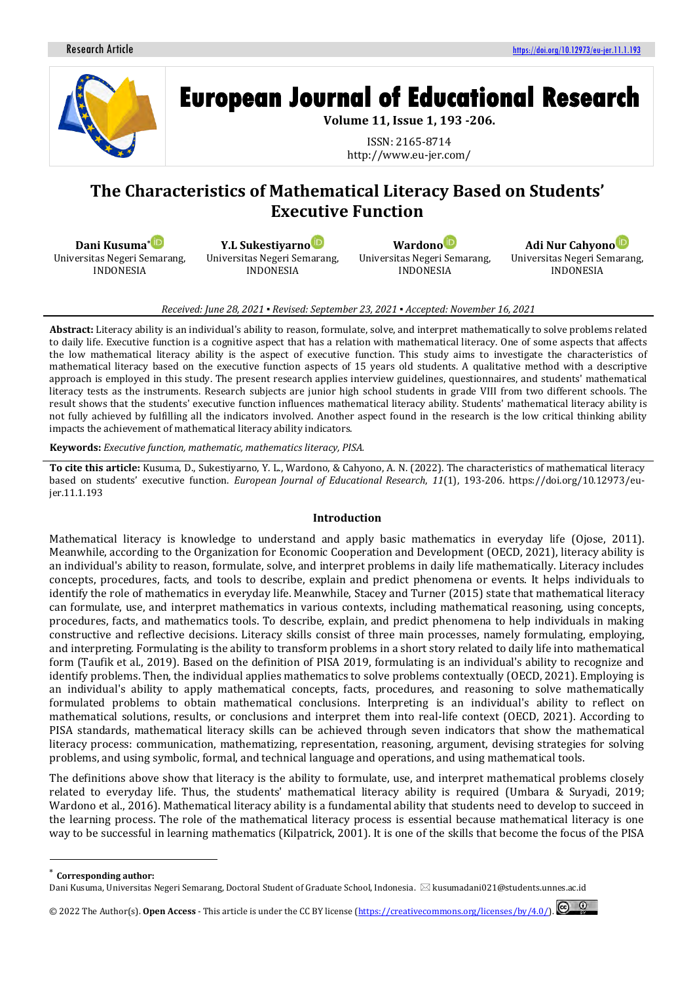

# **European Journal of Educational Research**

**Volume 11, Issue 1, 193 -206.**

ISSN: 2165-8714 http://www.eu-jer.com/

# **The Characteristics of Mathematical Literacy Based on Students' Executive Function**

**Dani Kusuma[\\*](https://orcid.org/0000-0002-3208-7521)** Universitas Negeri Semarang, INDONESIA

**Y.L Sukestiyarn[o](https://orcid.org/0000-0003-2377-5872)** Universitas Negeri Semarang, INDONESIA

**Wardono** Universitas Negeri Semarang, INDONESIA

**Adi Nur Cahyon[o](https://orcid.org/0000-0002-9469-524X)** Universitas Negeri Semarang, INDONESIA

#### *Received: June 28, 2021 ▪ Revised: September 23, 2021 ▪ Accepted: November 16, 2021*

**Abstract:** Literacy ability is an individual's ability to reason, formulate, solve, and interpret mathematically to solve problems related to daily life. Executive function is a cognitive aspect that has a relation with mathematical literacy. One of some aspects that affects the low mathematical literacy ability is the aspect of executive function. This study aims to investigate the characteristics of mathematical literacy based on the executive function aspects of 15 years old students. A qualitative method with a descriptive approach is employed in this study. The present research applies interview guidelines, questionnaires, and students' mathematical literacy tests as the instruments. Research subjects are junior high school students in grade VIII from two different schools. The result shows that the students' executive function influences mathematical literacy ability. Students' mathematical literacy ability is not fully achieved by fulfilling all the indicators involved. Another aspect found in the research is the low critical thinking ability impacts the achievement of mathematical literacy ability indicators.

**Keywords:** *Executive function, mathematic, mathematics literacy, PISA.*

**To cite this article:** Kusuma, D., Sukestiyarno, Y. L., Wardono, & Cahyono, A. N. (2022). The characteristics of mathematical literacy based on students' executive function. *European Journal of Educational Research*, *11*(1), 193-206. https://doi.org/10.12973/eujer.11.1.193

## **Introduction**

Mathematical literacy is knowledge to understand and apply basic mathematics in everyday life (Ojose, 2011). Meanwhile, according to the Organization for Economic Cooperation and Development (OECD, 2021), literacy ability is an individual's ability to reason, formulate, solve, and interpret problems in daily life mathematically. Literacy includes concepts, procedures, facts, and tools to describe, explain and predict phenomena or events. It helps individuals to identify the role of mathematics in everyday life. Meanwhile, Stacey and Turner (2015) state that mathematical literacy can formulate, use, and interpret mathematics in various contexts, including mathematical reasoning, using concepts, procedures, facts, and mathematics tools. To describe, explain, and predict phenomena to help individuals in making constructive and reflective decisions. Literacy skills consist of three main processes, namely formulating, employing, and interpreting. Formulating is the ability to transform problems in a short story related to daily life into mathematical form (Taufik et al., 2019). Based on the definition of PISA 2019, formulating is an individual's ability to recognize and identify problems. Then, the individual applies mathematics to solve problems contextually (OECD, 2021). Employing is an individual's ability to apply mathematical concepts, facts, procedures, and reasoning to solve mathematically formulated problems to obtain mathematical conclusions. Interpreting is an individual's ability to reflect on mathematical solutions, results, or conclusions and interpret them into real-life context (OECD, 2021). According to PISA standards, mathematical literacy skills can be achieved through seven indicators that show the mathematical literacy process: communication, mathematizing, representation, reasoning, argument, devising strategies for solving problems, and using symbolic, formal, and technical language and operations, and using mathematical tools.

The definitions above show that literacy is the ability to formulate, use, and interpret mathematical problems closely related to everyday life. Thus, the students' mathematical literacy ability is required (Umbara & Suryadi, 2019; Wardono et al., 2016). Mathematical literacy ability is a fundamental ability that students need to develop to succeed in the learning process. The role of the mathematical literacy process is essential because mathematical literacy is one way to be successful in learning mathematics (Kilpatrick, 2001). It is one of the skills that become the focus of the PISA

 $\odot$   $\odot$ © 2022 The Author(s). **Open Access** - This article is under the CC BY license [\(https://creativecommons.org/licenses/by/4.0/\)](https://creativecommons.org/licenses/by/4.0/).

**Corresponding author:** 

Dani Kusuma, Universitas Negeri Semarang, Doctoral Student of Graduate School, Indonesia. kusumadani021@students.unnes.ac.id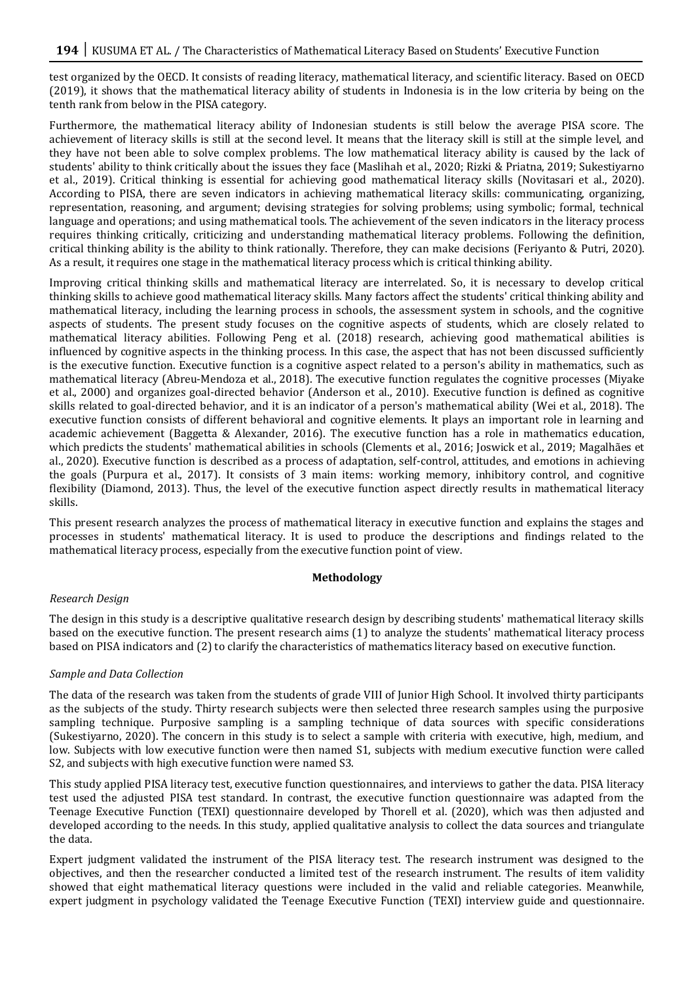test organized by the OECD. It consists of reading literacy, mathematical literacy, and scientific literacy. Based on OECD (2019), it shows that the mathematical literacy ability of students in Indonesia is in the low criteria by being on the tenth rank from below in the PISA category.

Furthermore, the mathematical literacy ability of Indonesian students is still below the average PISA score. The achievement of literacy skills is still at the second level. It means that the literacy skill is still at the simple level, and they have not been able to solve complex problems. The low mathematical literacy ability is caused by the lack of students' ability to think critically about the issues they face (Maslihah et al., 2020; Rizki & Priatna, 2019; Sukestiyarno et al., 2019). Critical thinking is essential for achieving good mathematical literacy skills (Novitasari et al., 2020). According to PISA, there are seven indicators in achieving mathematical literacy skills: communicating, organizing, representation, reasoning, and argument; devising strategies for solving problems; using symbolic; formal, technical language and operations; and using mathematical tools. The achievement of the seven indicators in the literacy process requires thinking critically, criticizing and understanding mathematical literacy problems. Following the definition, critical thinking ability is the ability to think rationally. Therefore, they can make decisions (Feriyanto & Putri, 2020). As a result, it requires one stage in the mathematical literacy process which is critical thinking ability.

Improving critical thinking skills and mathematical literacy are interrelated. So, it is necessary to develop critical thinking skills to achieve good mathematical literacy skills. Many factors affect the students' critical thinking ability and mathematical literacy, including the learning process in schools, the assessment system in schools, and the cognitive aspects of students. The present study focuses on the cognitive aspects of students, which are closely related to mathematical literacy abilities. Following Peng et al. (2018) research, achieving good mathematical abilities is influenced by cognitive aspects in the thinking process. In this case, the aspect that has not been discussed sufficiently is the executive function. Executive function is a cognitive aspect related to a person's ability in mathematics, such as mathematical literacy (Abreu-Mendoza et al., 2018). The executive function regulates the cognitive processes (Miyake et al., 2000) and organizes goal-directed behavior (Anderson et al., 2010). Executive function is defined as cognitive skills related to goal-directed behavior, and it is an indicator of a person's mathematical ability (Wei et al., 2018). The executive function consists of different behavioral and cognitive elements. It plays an important role in learning and academic achievement (Baggetta & Alexander, 2016). The executive function has a role in mathematics education, which predicts the students' mathematical abilities in schools (Clements et al., 2016; Joswick et al., 2019; Magalhães et al., 2020). Executive function is described as a process of adaptation, self-control, attitudes, and emotions in achieving the goals (Purpura et al., 2017). It consists of 3 main items: working memory, inhibitory control, and cognitive flexibility (Diamond, 2013). Thus, the level of the executive function aspect directly results in mathematical literacy skills.

This present research analyzes the process of mathematical literacy in executive function and explains the stages and processes in students' mathematical literacy. It is used to produce the descriptions and findings related to the mathematical literacy process, especially from the executive function point of view.

## **Methodology**

## *Research Design*

The design in this study is a descriptive qualitative research design by describing students' mathematical literacy skills based on the executive function. The present research aims (1) to analyze the students' mathematical literacy process based on PISA indicators and (2) to clarify the characteristics of mathematics literacy based on executive function.

## *Sample and Data Collection*

The data of the research was taken from the students of grade VIII of Junior High School. It involved thirty participants as the subjects of the study. Thirty research subjects were then selected three research samples using the purposive sampling technique. Purposive sampling is a sampling technique of data sources with specific considerations (Sukestiyarno, 2020). The concern in this study is to select a sample with criteria with executive, high, medium, and low. Subjects with low executive function were then named S1, subjects with medium executive function were called S2, and subjects with high executive function were named S3.

This study applied PISA literacy test, executive function questionnaires, and interviews to gather the data. PISA literacy test used the adjusted PISA test standard. In contrast, the executive function questionnaire was adapted from the Teenage Executive Function (TEXI) questionnaire developed by Thorell et al. (2020), which was then adjusted and developed according to the needs. In this study, applied qualitative analysis to collect the data sources and triangulate the data.

Expert judgment validated the instrument of the PISA literacy test. The research instrument was designed to the objectives, and then the researcher conducted a limited test of the research instrument. The results of item validity showed that eight mathematical literacy questions were included in the valid and reliable categories. Meanwhile, expert judgment in psychology validated the Teenage Executive Function (TEXI) interview guide and questionnaire.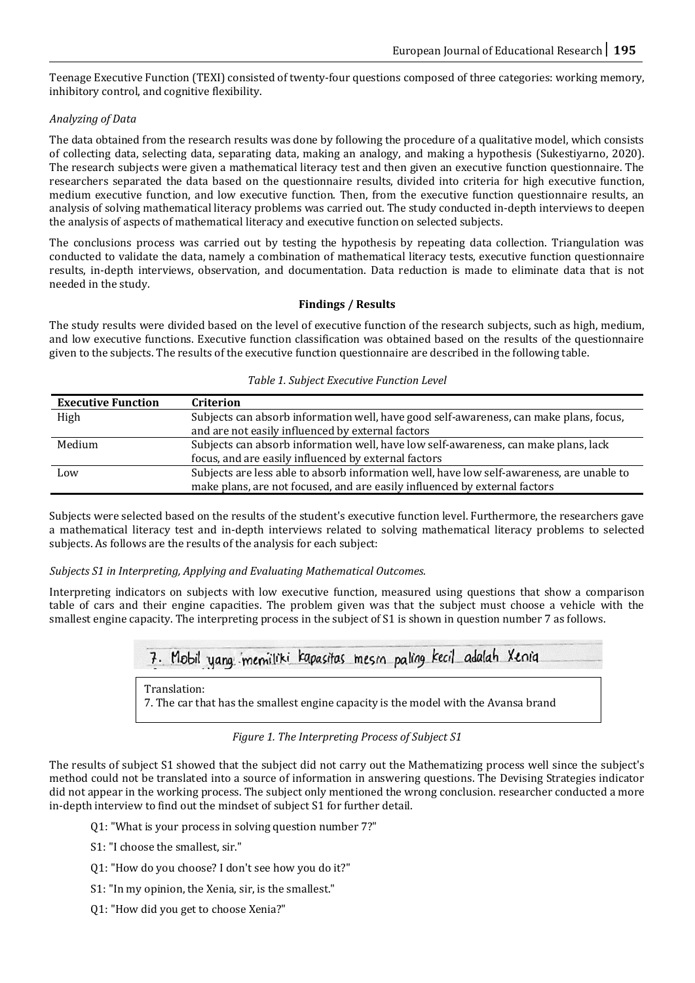Teenage Executive Function (TEXI) consisted of twenty-four questions composed of three categories: working memory, inhibitory control, and cognitive flexibility.

# *Analyzing of Data*

The data obtained from the research results was done by following the procedure of a qualitative model, which consists of collecting data, selecting data, separating data, making an analogy, and making a hypothesis (Sukestiyarno, 2020). The research subjects were given a mathematical literacy test and then given an executive function questionnaire. The researchers separated the data based on the questionnaire results, divided into criteria for high executive function, medium executive function, and low executive function. Then, from the executive function questionnaire results, an analysis of solving mathematical literacy problems was carried out. The study conducted in-depth interviews to deepen the analysis of aspects of mathematical literacy and executive function on selected subjects.

The conclusions process was carried out by testing the hypothesis by repeating data collection. Triangulation was conducted to validate the data, namely a combination of mathematical literacy tests, executive function questionnaire results, in-depth interviews, observation, and documentation. Data reduction is made to eliminate data that is not needed in the study.

# **Findings / Results**

The study results were divided based on the level of executive function of the research subjects, such as high, medium, and low executive functions. Executive function classification was obtained based on the results of the questionnaire given to the subjects. The results of the executive function questionnaire are described in the following table.

| <b>Executive Function</b> | <b>Criterion</b>                                                                          |
|---------------------------|-------------------------------------------------------------------------------------------|
| High                      | Subjects can absorb information well, have good self-awareness, can make plans, focus,    |
|                           | and are not easily influenced by external factors                                         |
| Medium                    | Subjects can absorb information well, have low self-awareness, can make plans, lack       |
|                           | focus, and are easily influenced by external factors                                      |
| Low                       | Subjects are less able to absorb information well, have low self-awareness, are unable to |
|                           | make plans, are not focused, and are easily influenced by external factors                |

## *Table 1. Subject Executive Function Level*

Subjects were selected based on the results of the student's executive function level. Furthermore, the researchers gave a mathematical literacy test and in-depth interviews related to solving mathematical literacy problems to selected subjects. As follows are the results of the analysis for each subject:

# *Subjects S1 in Interpreting, Applying and Evaluating Mathematical Outcomes.*

Interpreting indicators on subjects with low executive function, measured using questions that show a comparison table of cars and their engine capacities. The problem given was that the subject must choose a vehicle with the smallest engine capacity. The interpreting process in the subject of S1 is shown in question number 7 as follows.



*Figure 1. The Interpreting Process of Subject S1*

The results of subject S1 showed that the subject did not carry out the Mathematizing process well since the subject's method could not be translated into a source of information in answering questions. The Devising Strategies indicator did not appear in the working process. The subject only mentioned the wrong conclusion. researcher conducted a more in-depth interview to find out the mindset of subject S1 for further detail.

Q1: "What is your process in solving question number 7?"

S1: "I choose the smallest, sir."

Q1: "How do you choose? I don't see how you do it?"

S1: "In my opinion, the Xenia, sir, is the smallest."

Q1: "How did you get to choose Xenia?"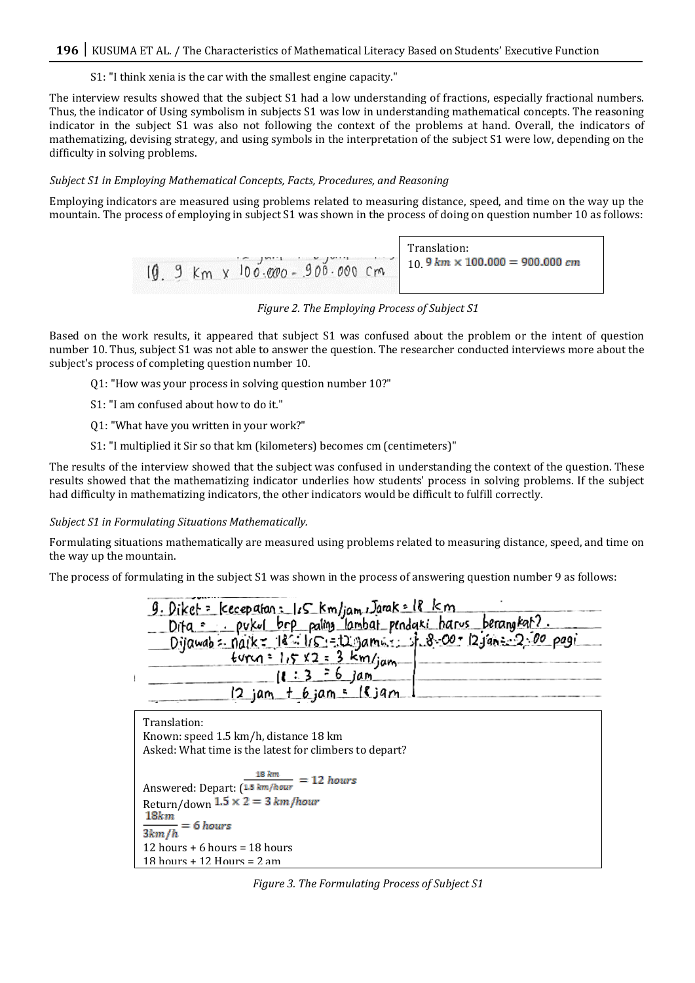S1: "I think xenia is the car with the smallest engine capacity."

The interview results showed that the subject S1 had a low understanding of fractions, especially fractional numbers. Thus, the indicator of Using symbolism in subjects S1 was low in understanding mathematical concepts. The reasoning indicator in the subject S1 was also not following the context of the problems at hand. Overall, the indicators of mathematizing, devising strategy, and using symbols in the interpretation of the subject S1 were low, depending on the difficulty in solving problems.

## *Subject S1 in Employing Mathematical Concepts, Facts, Procedures, and Reasoning*

Employing indicators are measured using problems related to measuring distance, speed, and time on the way up the mountain. The process of employing in subject S1 was shown in the process of doing on question number 10 as follows:



*Figure 2. The Employing Process of Subject S1* 

Based on the work results, it appeared that subject S1 was confused about the problem or the intent of question number 10. Thus, subject S1 was not able to answer the question. The researcher conducted interviews more about the subject's process of completing question number 10.

Q1: "How was your process in solving question number 10?"

S1: "I am confused about how to do it."

Q1: "What have you written in your work?"

S1: "I multiplied it Sir so that km (kilometers) becomes cm (centimeters)"

The results of the interview showed that the subject was confused in understanding the context of the question. These results showed that the mathematizing indicator underlies how students' process in solving problems. If the subject had difficulty in mathematizing indicators, the other indicators would be difficult to fulfill correctly.

#### *Subject S1 in Formulating Situations Mathematically.*

Formulating situations mathematically are measured using problems related to measuring distance, speed, and time on the way up the mountain.

The process of formulating in the subject S1 was shown in the process of answering question number 9 as follows:



Translation: Known: speed 1.5 km/h, distance 18 km Asked: What time is the latest for climbers to depart? Answered: Depart:  $\frac{18 \text{ km}}{(1.5 \text{ km/hour})} = 12 \text{ hours}$ Return/down  $1.5 \times 2 = 3 km/hour$ <br>18km  $= 6 hours$  $3km/h$ 12 hours + 6 hours = 18 hours 18 hours + 12 Hours = 2 am

*Figure 3. The Formulating Process of Subject S1*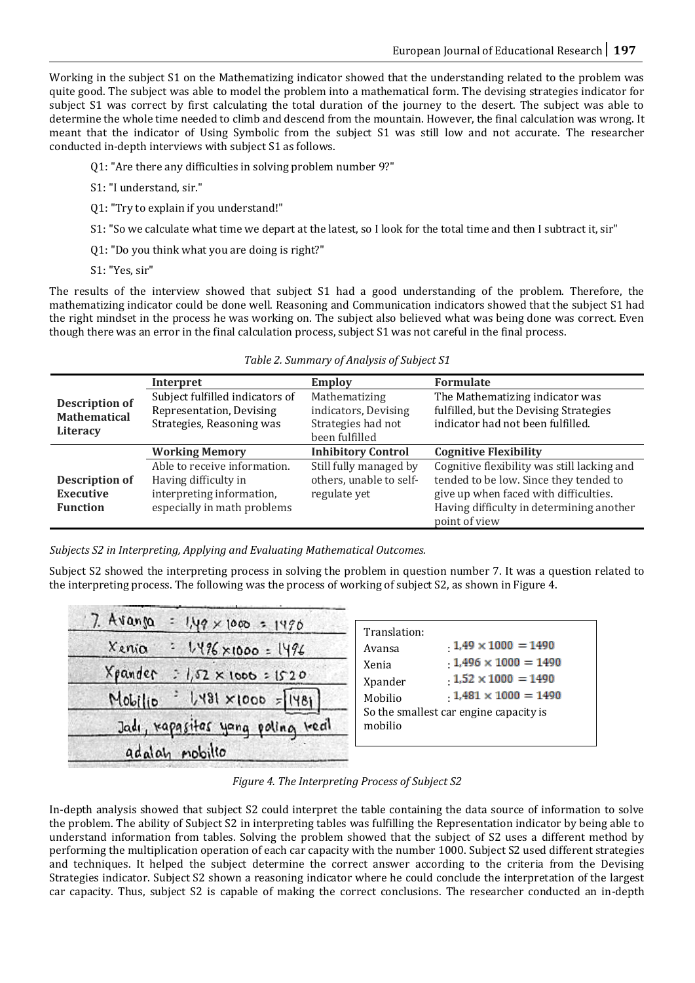Working in the subject S1 on the Mathematizing indicator showed that the understanding related to the problem was quite good. The subject was able to model the problem into a mathematical form. The devising strategies indicator for subject S1 was correct by first calculating the total duration of the journey to the desert. The subject was able to determine the whole time needed to climb and descend from the mountain. However, the final calculation was wrong. It meant that the indicator of Using Symbolic from the subject S1 was still low and not accurate. The researcher conducted in-depth interviews with subject S1 as follows.

- Q1: "Are there any difficulties in solving problem number 9?"
- S1: "I understand, sir."
- Q1: "Try to explain if you understand!"
- S1: "So we calculate what time we depart at the latest, so I look for the total time and then I subtract it, sir"
- Q1: "Do you think what you are doing is right?"
- S1: "Yes, sir"

The results of the interview showed that subject S1 had a good understanding of the problem. Therefore, the mathematizing indicator could be done well. Reasoning and Communication indicators showed that the subject S1 had the right mindset in the process he was working on. The subject also believed what was being done was correct. Even though there was an error in the final calculation process, subject S1 was not careful in the final process.

|                                                                 | Interpret                                                                                                        | <b>Employ</b>                                                                 | <b>Formulate</b>                                                                                                                                                                            |
|-----------------------------------------------------------------|------------------------------------------------------------------------------------------------------------------|-------------------------------------------------------------------------------|---------------------------------------------------------------------------------------------------------------------------------------------------------------------------------------------|
| <b>Description of</b><br><b>Mathematical</b><br><b>Literacy</b> | Subject fulfilled indicators of<br>Representation, Devising<br>Strategies, Reasoning was                         | Mathematizing<br>indicators, Devising<br>Strategies had not<br>been fulfilled | The Mathematizing indicator was<br>fulfilled, but the Devising Strategies<br>indicator had not been fulfilled.                                                                              |
|                                                                 | <b>Working Memory</b>                                                                                            | <b>Inhibitory Control</b>                                                     | <b>Cognitive Flexibility</b>                                                                                                                                                                |
| <b>Description of</b><br><b>Executive</b><br><b>Function</b>    | Able to receive information.<br>Having difficulty in<br>interpreting information,<br>especially in math problems | Still fully managed by<br>others, unable to self-<br>regulate yet             | Cognitive flexibility was still lacking and<br>tended to be low. Since they tended to<br>give up when faced with difficulties.<br>Having difficulty in determining another<br>point of view |

|  | Table 2. Summary of Analysis of Subject S1 |  |  |  |  |
|--|--------------------------------------------|--|--|--|--|

*Subjects S2 in Interpreting, Applying and Evaluating Mathematical Outcomes.*

Subject S2 showed the interpreting process in solving the problem in question number 7. It was a question related to the interpreting process. The following was the process of working of subject S2, as shown in Figure 4.

| $7.$ Avanja<br>= 1,49 x 1000 = 1490    | Translation:                                                      |
|----------------------------------------|-------------------------------------------------------------------|
| Xenia<br>$: 1496 \times 1000 = 1496$   | $1,49 \times 1000 = 1490$<br>Avansa<br>$1,496 \times 1000 = 1490$ |
| Xpander<br>$: 1,52 \times 1000 = 1520$ | Xenia<br>$1,52 \times 1000 = 1490$<br>Xpander                     |
| $ 3y  = 0000 \times 18y$<br>Mobilio    | $1,481 \times 1000 = 1490$<br>Mobilio                             |
| Jadi, rapasitas yang poling real       | So the smallest car engine capacity is<br>mobilio                 |
| adalah mobilio                         |                                                                   |

# *Figure 4. The Interpreting Process of Subject S2*

In-depth analysis showed that subject S2 could interpret the table containing the data source of information to solve the problem. The ability of Subject S2 in interpreting tables was fulfilling the Representation indicator by being able to understand information from tables. Solving the problem showed that the subject of S2 uses a different method by performing the multiplication operation of each car capacity with the number 1000. Subject S2 used different strategies and techniques. It helped the subject determine the correct answer according to the criteria from the Devising Strategies indicator. Subject S2 shown a reasoning indicator where he could conclude the interpretation of the largest car capacity. Thus, subject S2 is capable of making the correct conclusions. The researcher conducted an in-depth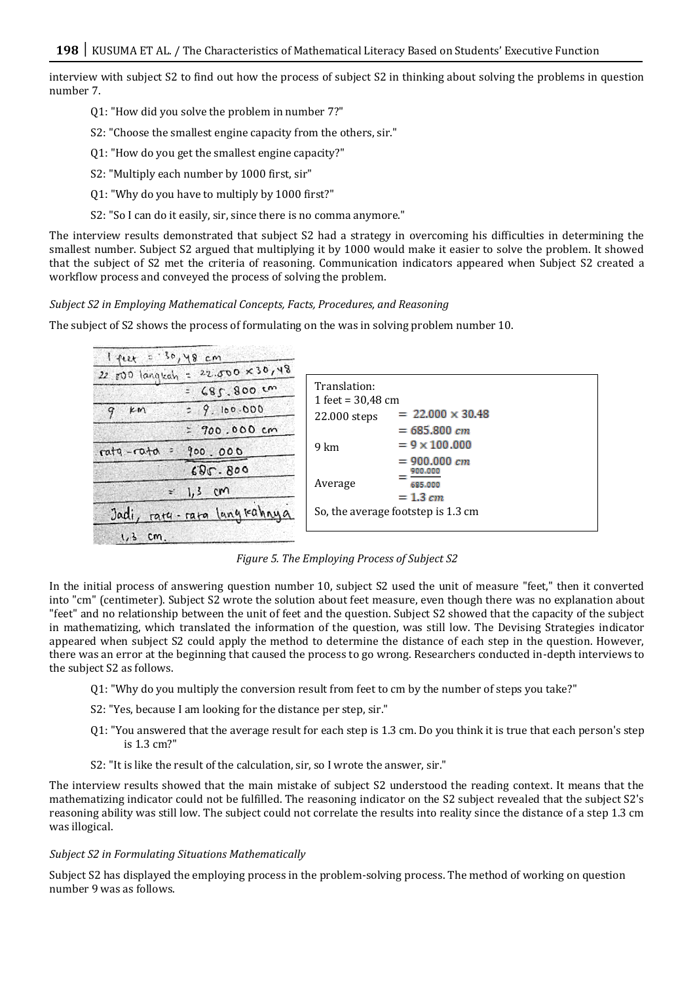interview with subject S2 to find out how the process of subject S2 in thinking about solving the problems in question number 7.

- Q1: "How did you solve the problem in number 7?"
- S2: "Choose the smallest engine capacity from the others, sir."
- Q1: "How do you get the smallest engine capacity?"
- S2: "Multiply each number by 1000 first, sir"
- Q1: "Why do you have to multiply by 1000 first?"
- S2: "So I can do it easily, sir, since there is no comma anymore."

The interview results demonstrated that subject S2 had a strategy in overcoming his difficulties in determining the smallest number. Subject S2 argued that multiplying it by 1000 would make it easier to solve the problem. It showed that the subject of S2 met the criteria of reasoning. Communication indicators appeared when Subject S2 created a workflow process and conveyed the process of solving the problem.

# *Subject S2 in Employing Mathematical Concepts, Facts, Procedures, and Reasoning*

The subject of S2 shows the process of formulating on the was in solving problem number 10.

| $1 + 12 + 530, 48$ cm                     |                                     |                                    |  |
|-------------------------------------------|-------------------------------------|------------------------------------|--|
| 22 $500$ languah = 22.000 $\times$ 30, 48 |                                     |                                    |  |
| $=685.800 \, \text{cm}$                   | Translation:<br>1 feet = $30,48$ cm |                                    |  |
| 29.100.000<br>KM<br>9                     | 22.000 steps                        | $= 22.000 \times 30.48$            |  |
| $= 700.000cm$                             |                                     | $= 685.800 cm$                     |  |
| rata-rata<br>900.000                      | 9 km                                | $= 9 \times 100,000$               |  |
| 680.800                                   |                                     | $= 900.000 cm$<br>900,000          |  |
| $1,3$ cm<br>÷.                            | Average                             | 685,000<br>$= 1.3 cm$              |  |
| ratu - rata langkahnya<br>Jadi            |                                     | So, the average footstep is 1.3 cm |  |
| $1,3$ cm.                                 |                                     |                                    |  |

*Figure 5. The Employing Process of Subject S2* 

In the initial process of answering question number 10, subject S2 used the unit of measure "feet," then it converted into "cm" (centimeter). Subject S2 wrote the solution about feet measure, even though there was no explanation about "feet" and no relationship between the unit of feet and the question. Subject S2 showed that the capacity of the subject in mathematizing, which translated the information of the question, was still low. The Devising Strategies indicator appeared when subject S2 could apply the method to determine the distance of each step in the question. However, there was an error at the beginning that caused the process to go wrong. Researchers conducted in-depth interviews to the subject S2 as follows.

- Q1: "Why do you multiply the conversion result from feet to cm by the number of steps you take?"
- S2: "Yes, because I am looking for the distance per step, sir."
- Q1: "You answered that the average result for each step is 1.3 cm. Do you think it is true that each person's step is 1.3 cm?"
- S2: "It is like the result of the calculation, sir, so I wrote the answer, sir."

The interview results showed that the main mistake of subject S2 understood the reading context. It means that the mathematizing indicator could not be fulfilled. The reasoning indicator on the S2 subject revealed that the subject S2's reasoning ability was still low. The subject could not correlate the results into reality since the distance of a step 1.3 cm was illogical.

## *Subject S2 in Formulating Situations Mathematically*

Subject S2 has displayed the employing process in the problem-solving process. The method of working on question number 9 was as follows.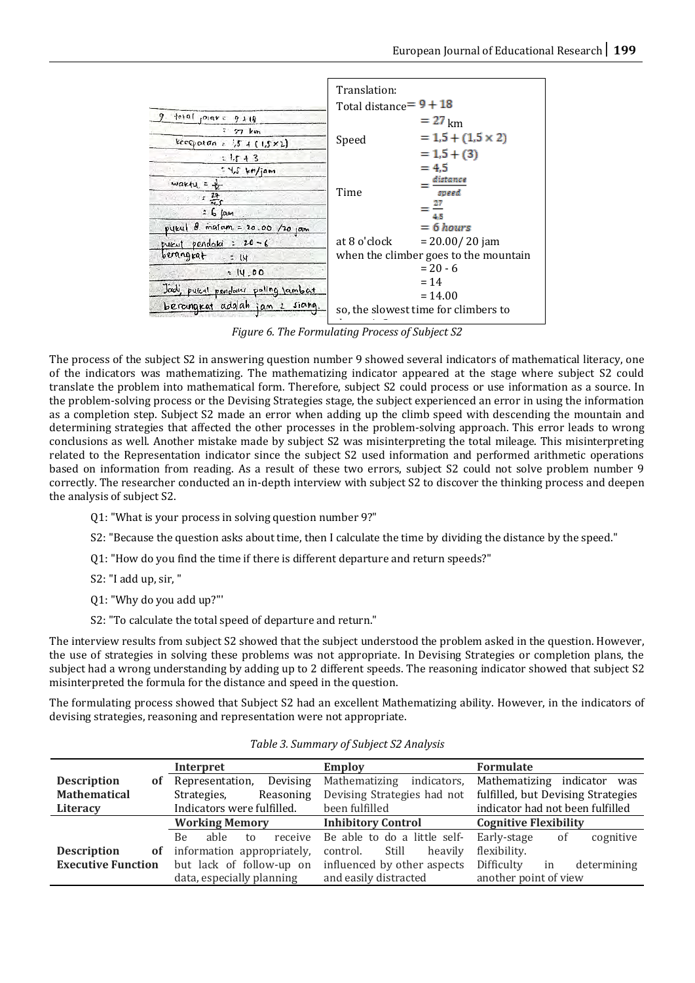|                                      | Translation:<br>Total distance $= 9 + 18$ |                                       |
|--------------------------------------|-------------------------------------------|---------------------------------------|
| $ 0+0 $ , $0 0+\epsilon$<br>$9 + 18$ |                                           | $= 27 \text{ km}$                     |
| Ŧ.<br>27 km                          | Speed                                     | $= 1.5 + (1.5 \times 2)$              |
| keeppton = $1,5 + (1,5 \times 2)$    |                                           | $= 1.5 + (3)$                         |
| $21.5 + 3$                           |                                           | $= 4.5$                               |
| $545$ km/jam<br>$marku = +$          |                                           | distance                              |
| 픘                                    | Time                                      | speed                                 |
| $26$ $\mu$                           |                                           | 4.5                                   |
| pykul 8 malam = 20.00 /20 jam        |                                           | $= 6 hours$                           |
| pueut pendati : 20-6                 | at 8 o'clock                              | $= 20.00 / 20$ jam                    |
| berangkat<br>$- = 14$                |                                           | when the climber goes to the mountain |
| 14.00                                |                                           | $= 20 - 6$                            |
|                                      |                                           | $= 14$                                |
| Jadi, pukul pendany poling lambat    |                                           | $= 14.00$                             |
| berangrat adalah jam 2 siang.        |                                           | so, the slowest time for climbers to  |

*Figure 6. The Formulating Process of Subject S2* depart is 2 pm

The process of the subject S2 in answering question number 9 showed several indicators of mathematical literacy, one of the indicators was mathematizing. The mathematizing indicator appeared at the stage where subject S2 could translate the problem into mathematical form. Therefore, subject S2 could process or use information as a source. In the problem-solving process or the Devising Strategies stage, the subject experienced an error in using the information as a completion step. Subject S2 made an error when adding up the climb speed with descending the mountain and determining strategies that affected the other processes in the problem-solving approach. This error leads to wrong conclusions as well. Another mistake made by subject S2 was misinterpreting the total mileage. This misinterpreting related to the Representation indicator since the subject S2 used information and performed arithmetic operations based on information from reading. As a result of these two errors, subject S2 could not solve problem number 9 correctly. The researcher conducted an in-depth interview with subject S2 to discover the thinking process and deepen the analysis of subject S2.

- Q1: "What is your process in solving question number 9?"
- S2: "Because the question asks about time, then I calculate the time by dividing the distance by the speed."
- Q1: "How do you find the time if there is different departure and return speeds?"
- S2: "I add up, sir, "
- Q1: "Why do you add up?"'
- S2: "To calculate the total speed of departure and return."

The interview results from subject S2 showed that the subject understood the problem asked in the question. However, the use of strategies in solving these problems was not appropriate. In Devising Strategies or completion plans, the subject had a wrong understanding by adding up to 2 different speeds. The reasoning indicator showed that subject S2 misinterpreted the formula for the distance and speed in the question.

The formulating process showed that Subject S2 had an excellent Mathematizing ability. However, in the indicators of devising strategies, reasoning and representation were not appropriate.

|                           | Interpret                   | <b>Employ</b>                | <b>Formulate</b>                   |
|---------------------------|-----------------------------|------------------------------|------------------------------------|
| <b>Description</b><br>0Ť  | Devising<br>Representation, | Mathematizing<br>indicators, | Mathematizing indicator was        |
| <b>Mathematical</b>       | Strategies,<br>Reasoning    | Devising Strategies had not  | fulfilled, but Devising Strategies |
| Literacy                  | Indicators were fulfilled.  | been fulfilled               | indicator had not been fulfilled   |
|                           | <b>Working Memory</b>       | <b>Inhibitory Control</b>    | <b>Cognitive Flexibility</b>       |
|                           | able<br>receive<br>Be<br>to | Be able to do a little self- | Early-stage<br>cognitive<br>of     |
| <b>Description</b><br>of  | information appropriately,  | Still<br>heavily<br>control. | flexibility.                       |
| <b>Executive Function</b> | but lack of follow-up on    | influenced by other aspects  | Difficulty<br>determining<br>in    |
|                           | data, especially planning   | and easily distracted        | another point of view              |

*Table 3. Summary of Subject S2 Analysis*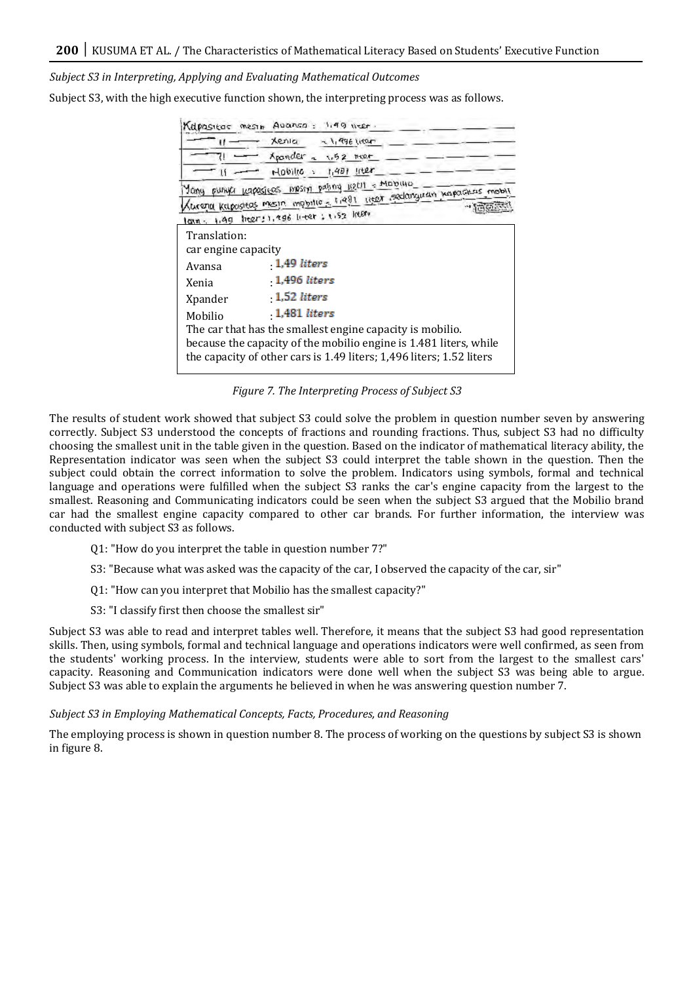*Subject S3 in Interpreting, Applying and Evaluating Mathematical Outcomes*

Subject S3, with the high executive function shown, the interpreting process was as follows.

|                     | Kapasitos mesin Avanso: 1,99 weer.                                                                                                                                                                     |
|---------------------|--------------------------------------------------------------------------------------------------------------------------------------------------------------------------------------------------------|
|                     | xenia<br>$-1.996$ liter                                                                                                                                                                                |
|                     | Apander - 1,52 meet                                                                                                                                                                                    |
|                     | $H_1(0, 0)$ (10 ) $H_1(4, 0)$ (112r)                                                                                                                                                                   |
|                     | <u>Yong punya kapasicos mpsny paling ketit - Molowic</u><br>lurenia kabolstas mesjo, mobilio - 1,991, kepit sedanguan juapasesis mobili<br>lain, 1,49 hear; 1,986 hear; 1,52 hear.                     |
| Translation:        |                                                                                                                                                                                                        |
| car engine capacity |                                                                                                                                                                                                        |
| Avansa              | 1,49 liters                                                                                                                                                                                            |
| Xenia               | 1,496 liters                                                                                                                                                                                           |
| Xpander             | 1,52 liters                                                                                                                                                                                            |
| Mobilio             | 1,481 liters                                                                                                                                                                                           |
|                     | The car that has the smallest engine capacity is mobilio.<br>because the capacity of the mobilio engine is 1.481 liters, while<br>the capacity of other cars is 1.49 liters; 1,496 liters; 1.52 liters |

*Figure 7. The Interpreting Process of Subject S3* 

The results of student work showed that subject S3 could solve the problem in question number seven by answering correctly. Subject S3 understood the concepts of fractions and rounding fractions. Thus, subject S3 had no difficulty choosing the smallest unit in the table given in the question. Based on the indicator of mathematical literacy ability, the Representation indicator was seen when the subject S3 could interpret the table shown in the question. Then the subject could obtain the correct information to solve the problem. Indicators using symbols, formal and technical language and operations were fulfilled when the subject S3 ranks the car's engine capacity from the largest to the smallest. Reasoning and Communicating indicators could be seen when the subject S3 argued that the Mobilio brand car had the smallest engine capacity compared to other car brands. For further information, the interview was conducted with subject S3 as follows.

Q1: "How do you interpret the table in question number 7?"

S3: "Because what was asked was the capacity of the car, I observed the capacity of the car, sir"

Q1: "How can you interpret that Mobilio has the smallest capacity?"

S3: "I classify first then choose the smallest sir"

Subject S3 was able to read and interpret tables well. Therefore, it means that the subject S3 had good representation skills. Then, using symbols, formal and technical language and operations indicators were well confirmed, as seen from the students' working process. In the interview, students were able to sort from the largest to the smallest cars' capacity. Reasoning and Communication indicators were done well when the subject S3 was being able to argue. Subject S3 was able to explain the arguments he believed in when he was answering question number 7.

#### *Subject S3 in Employing Mathematical Concepts, Facts, Procedures, and Reasoning*

The employing process is shown in question number 8. The process of working on the questions by subject S3 is shown in figure 8.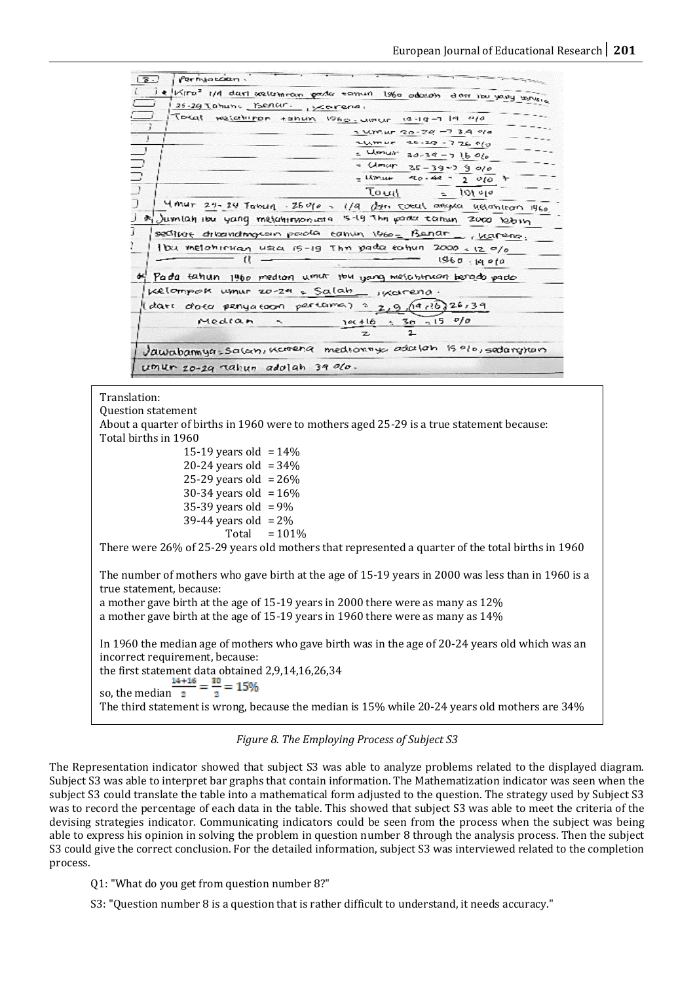

*Figure 8. The Employing Process of Subject S3* 

The Representation indicator showed that subject S3 was able to analyze problems related to the displayed diagram. Subject S3 was able to interpret bar graphs that contain information. The Mathematization indicator was seen when the subject S3 could translate the table into a mathematical form adjusted to the question. The strategy used by Subject S3 was to record the percentage of each data in the table. This showed that subject S3 was able to meet the criteria of the devising strategies indicator. Communicating indicators could be seen from the process when the subject was being able to express his opinion in solving the problem in question number 8 through the analysis process. Then the subject S3 could give the correct conclusion. For the detailed information, subject S3 was interviewed related to the completion process.

Q1: "What do you get from question number 8?"

S3: "Question number 8 is a question that is rather difficult to understand, it needs accuracy."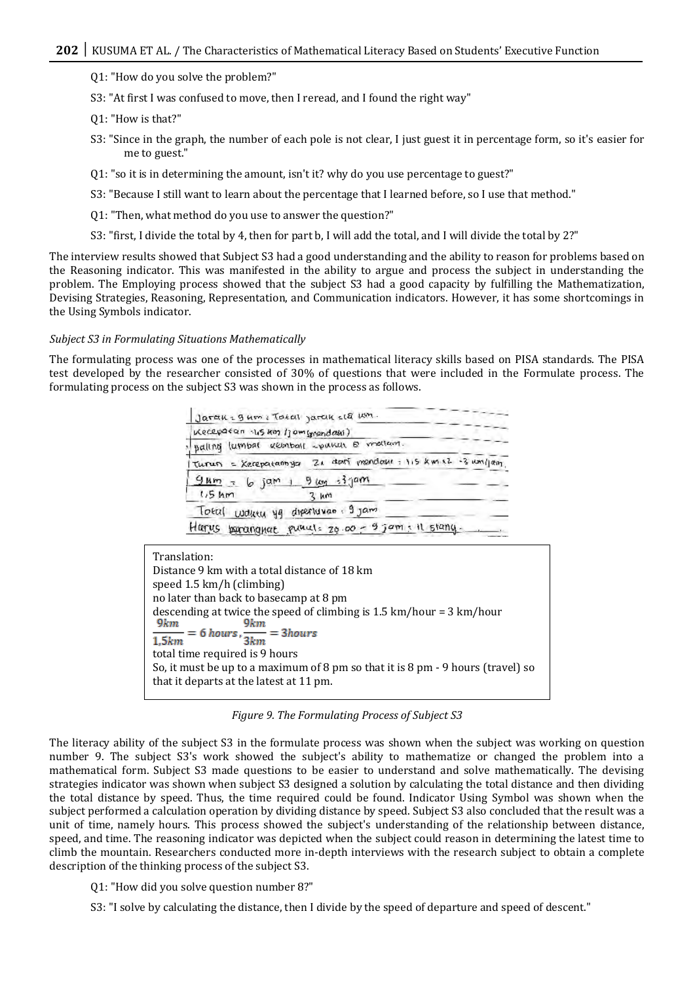Q1: "How do you solve the problem?"

S3: "At first I was confused to move, then I reread, and I found the right way"

Q1: "How is that?"

- S3: "Since in the graph, the number of each pole is not clear, I just guest it in percentage form, so it's easier for me to guest."
- Q1: "so it is in determining the amount, isn't it? why do you use percentage to guest?"
- S3: "Because I still want to learn about the percentage that I learned before, so I use that method."
- Q1: "Then, what method do you use to answer the question?"
- S3: "first, I divide the total by 4, then for part b, I will add the total, and I will divide the total by 2?"

The interview results showed that Subject S3 had a good understanding and the ability to reason for problems based on the Reasoning indicator. This was manifested in the ability to argue and process the subject in understanding the problem. The Employing process showed that the subject S3 had a good capacity by fulfilling the Mathematization, Devising Strategies, Reasoning, Representation, and Communication indicators. However, it has some shortcomings in the Using Symbols indicator.

#### *Subject S3 in Formulating Situations Mathematically*

The formulating process was one of the processes in mathematical literacy skills based on PISA standards. The PISA test developed by the researcher consisted of 30% of questions that were included in the Formulate process. The formulating process on the subject S3 was shown in the process as follows.

|                  | Keceparan 15 km 1 jam (mandasi)         |           |  |  |                                                            |
|------------------|-----------------------------------------|-----------|--|--|------------------------------------------------------------|
|                  | palling lumbat kembali spania B mellam. |           |  |  |                                                            |
|                  |                                         |           |  |  | Turun = Kerepatannya Zi dari mendaki : 115 km x2 -3 um/jam |
| $1.5 \text{ km}$ | $9mm - 6 jam + 9km - 3jam$              | $3 \mu m$ |  |  |                                                            |
|                  | Total woutu yg diperiuwan 9 jam         |           |  |  |                                                            |

| Translation:                                                                           |
|----------------------------------------------------------------------------------------|
| Distance 9 km with a total distance of 18 km                                           |
| speed 1.5 km/h (climbing)                                                              |
| no later than back to basecamp at 8 pm                                                 |
| descending at twice the speed of climbing is $1.5 \text{ km/hour} = 3 \text{ km/hour}$ |
| 9km<br>9km                                                                             |
| $\frac{1}{1,5km} = 6 \text{ hours}, \frac{1}{3km} = 3 \text{hours}$                    |
|                                                                                        |
| total time required is 9 hours                                                         |
| So, it must be up to a maximum of 8 pm so that it is 8 pm - 9 hours (travel) so        |
| that it departs at the latest at 11 pm.                                                |

*Figure 9. The Formulating Process of Subject S3*

The literacy ability of the subject S3 in the formulate process was shown when the subject was working on question number 9. The subject S3's work showed the subject's ability to mathematize or changed the problem into a mathematical form. Subject S3 made questions to be easier to understand and solve mathematically. The devising strategies indicator was shown when subject S3 designed a solution by calculating the total distance and then dividing the total distance by speed. Thus, the time required could be found. Indicator Using Symbol was shown when the subject performed a calculation operation by dividing distance by speed. Subject S3 also concluded that the result was a unit of time, namely hours. This process showed the subject's understanding of the relationship between distance, speed, and time. The reasoning indicator was depicted when the subject could reason in determining the latest time to climb the mountain. Researchers conducted more in-depth interviews with the research subject to obtain a complete description of the thinking process of the subject S3.

Q1: "How did you solve question number 8?"

S3: "I solve by calculating the distance, then I divide by the speed of departure and speed of descent."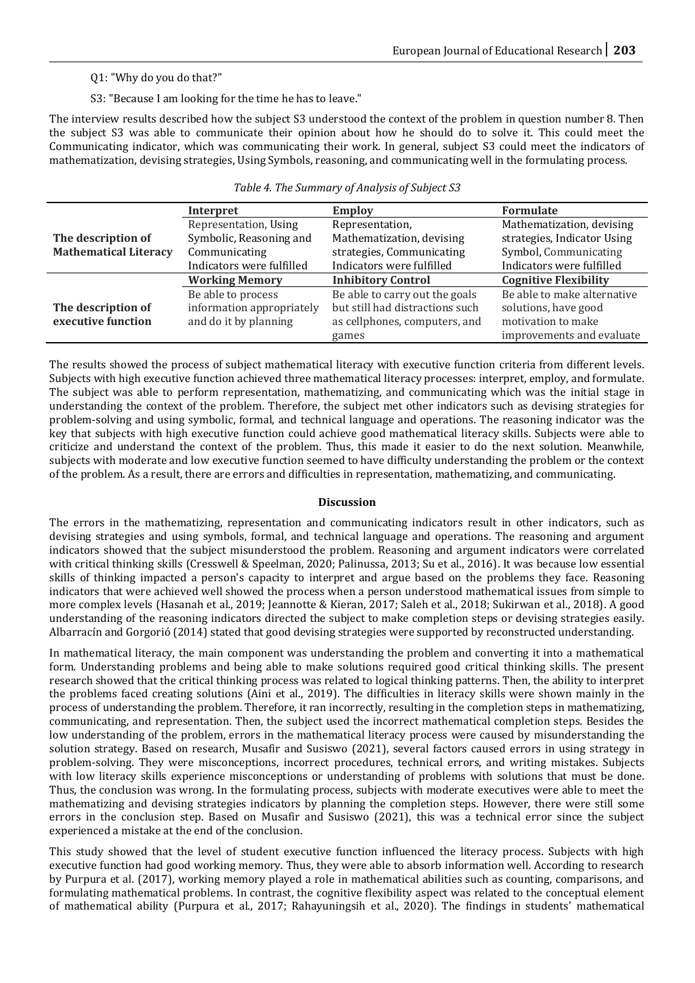# Q1: "Why do you do that?"

S3: "Because I am looking for the time he has to leave."

The interview results described how the subject S3 understood the context of the problem in question number 8. Then the subject S3 was able to communicate their opinion about how he should do to solve it. This could meet the Communicating indicator, which was communicating their work. In general, subject S3 could meet the indicators of mathematization, devising strategies, Using Symbols, reasoning, and communicating well in the formulating process.

|                              | Interpret                 | <b>Employ</b>                   | <b>Formulate</b>             |
|------------------------------|---------------------------|---------------------------------|------------------------------|
|                              | Representation, Using     | Representation,                 | Mathematization, devising    |
| The description of           | Symbolic, Reasoning and   | Mathematization, devising       | strategies, Indicator Using  |
| <b>Mathematical Literacy</b> | Communicating             | strategies, Communicating       | Symbol, Communicating        |
|                              | Indicators were fulfilled | Indicators were fulfilled       | Indicators were fulfilled    |
|                              | <b>Working Memory</b>     | <b>Inhibitory Control</b>       | <b>Cognitive Flexibility</b> |
|                              | Be able to process        | Be able to carry out the goals  | Be able to make alternative  |
| The description of           | information appropriately | but still had distractions such | solutions, have good         |
| executive function           | and do it by planning     | as cellphones, computers, and   | motivation to make           |
|                              |                           | games                           | improvements and evaluate    |

The results showed the process of subject mathematical literacy with executive function criteria from different levels. Subjects with high executive function achieved three mathematical literacy processes: interpret, employ, and formulate. The subject was able to perform representation, mathematizing, and communicating which was the initial stage in understanding the context of the problem. Therefore, the subject met other indicators such as devising strategies for problem-solving and using symbolic, formal, and technical language and operations. The reasoning indicator was the key that subjects with high executive function could achieve good mathematical literacy skills. Subjects were able to criticize and understand the context of the problem. Thus, this made it easier to do the next solution. Meanwhile, subjects with moderate and low executive function seemed to have difficulty understanding the problem or the context of the problem. As a result, there are errors and difficulties in representation, mathematizing, and communicating.

## **Discussion**

The errors in the mathematizing, representation and communicating indicators result in other indicators, such as devising strategies and using symbols, formal, and technical language and operations. The reasoning and argument indicators showed that the subject misunderstood the problem. Reasoning and argument indicators were correlated with critical thinking skills (Cresswell & Speelman, 2020; Palinussa, 2013; Su et al., 2016). It was because low essential skills of thinking impacted a person's capacity to interpret and argue based on the problems they face. Reasoning indicators that were achieved well showed the process when a person understood mathematical issues from simple to more complex levels (Hasanah et al., 2019; Jeannotte & Kieran, 2017; Saleh et al., 2018; Sukirwan et al., 2018). A good understanding of the reasoning indicators directed the subject to make completion steps or devising strategies easily. Albarracín and Gorgorió (2014) stated that good devising strategies were supported by reconstructed understanding.

In mathematical literacy, the main component was understanding the problem and converting it into a mathematical form. Understanding problems and being able to make solutions required good critical thinking skills. The present research showed that the critical thinking process was related to logical thinking patterns. Then, the ability to interpret the problems faced creating solutions (Aini et al., 2019). The difficulties in literacy skills were shown mainly in the process of understanding the problem. Therefore, it ran incorrectly, resulting in the completion steps in mathematizing, communicating, and representation. Then, the subject used the incorrect mathematical completion steps. Besides the low understanding of the problem, errors in the mathematical literacy process were caused by misunderstanding the solution strategy. Based on research, Musafir and Susiswo (2021), several factors caused errors in using strategy in problem-solving. They were misconceptions, incorrect procedures, technical errors, and writing mistakes. Subjects with low literacy skills experience misconceptions or understanding of problems with solutions that must be done. Thus, the conclusion was wrong. In the formulating process, subjects with moderate executives were able to meet the mathematizing and devising strategies indicators by planning the completion steps. However, there were still some errors in the conclusion step. Based on Musafir and Susiswo (2021), this was a technical error since the subject experienced a mistake at the end of the conclusion.

This study showed that the level of student executive function influenced the literacy process. Subjects with high executive function had good working memory. Thus, they were able to absorb information well. According to research by Purpura et al. (2017), working memory played a role in mathematical abilities such as counting, comparisons, and formulating mathematical problems. In contrast, the cognitive flexibility aspect was related to the conceptual element of mathematical ability (Purpura et al., 2017; Rahayuningsih et al., 2020). The findings in students' mathematical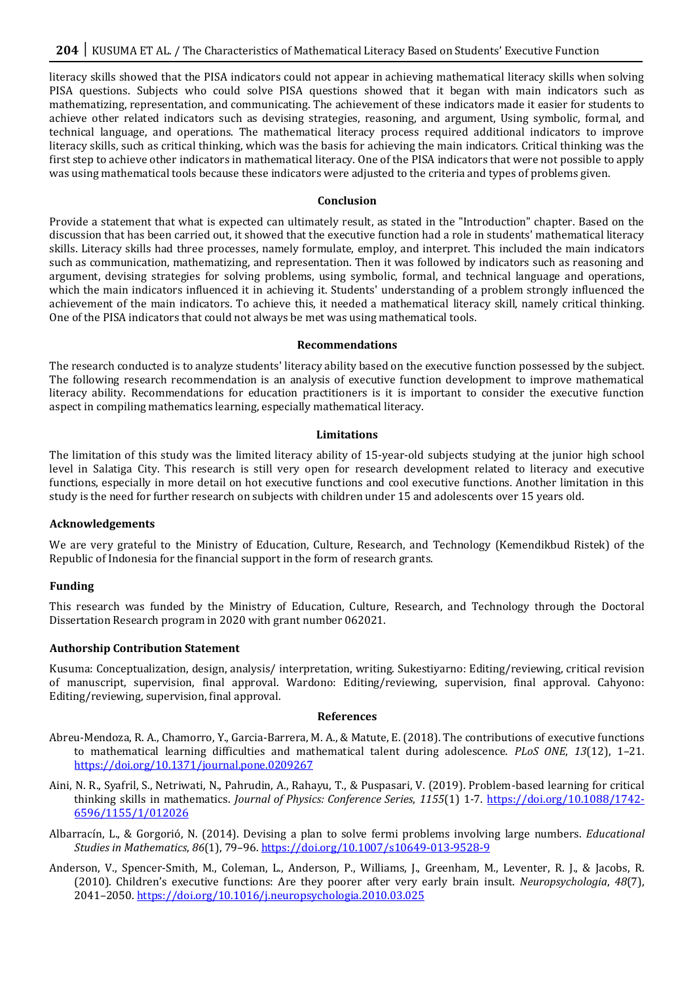literacy skills showed that the PISA indicators could not appear in achieving mathematical literacy skills when solving PISA questions. Subjects who could solve PISA questions showed that it began with main indicators such as mathematizing, representation, and communicating. The achievement of these indicators made it easier for students to achieve other related indicators such as devising strategies, reasoning, and argument, Using symbolic, formal, and technical language, and operations. The mathematical literacy process required additional indicators to improve literacy skills, such as critical thinking, which was the basis for achieving the main indicators. Critical thinking was the first step to achieve other indicators in mathematical literacy. One of the PISA indicators that were not possible to apply was using mathematical tools because these indicators were adjusted to the criteria and types of problems given.

#### **Conclusion**

Provide a statement that what is expected can ultimately result, as stated in the "Introduction" chapter. Based on the discussion that has been carried out, it showed that the executive function had a role in students' mathematical literacy skills. Literacy skills had three processes, namely formulate, employ, and interpret. This included the main indicators such as communication, mathematizing, and representation. Then it was followed by indicators such as reasoning and argument, devising strategies for solving problems, using symbolic, formal, and technical language and operations, which the main indicators influenced it in achieving it. Students' understanding of a problem strongly influenced the achievement of the main indicators. To achieve this, it needed a mathematical literacy skill, namely critical thinking. One of the PISA indicators that could not always be met was using mathematical tools.

#### **Recommendations**

The research conducted is to analyze students' literacy ability based on the executive function possessed by the subject. The following research recommendation is an analysis of executive function development to improve mathematical literacy ability. Recommendations for education practitioners is it is important to consider the executive function aspect in compiling mathematics learning, especially mathematical literacy.

#### **Limitations**

The limitation of this study was the limited literacy ability of 15-year-old subjects studying at the junior high school level in Salatiga City. This research is still very open for research development related to literacy and executive functions, especially in more detail on hot executive functions and cool executive functions. Another limitation in this study is the need for further research on subjects with children under 15 and adolescents over 15 years old.

## **Acknowledgements**

We are very grateful to the Ministry of Education, Culture, Research, and Technology (Kemendikbud Ristek) of the Republic of Indonesia for the financial support in the form of research grants.

## **Funding**

This research was funded by the Ministry of Education, Culture, Research, and Technology through the Doctoral Dissertation Research program in 2020 with grant number 062021.

## **Authorship Contribution Statement**

Kusuma: Conceptualization, design, analysis/ interpretation, writing. Sukestiyarno: Editing/reviewing, critical revision of manuscript, supervision, final approval. Wardono: Editing/reviewing, supervision, final approval. Cahyono: Editing/reviewing, supervision, final approval.

#### **References**

- Abreu-Mendoza, R. A., Chamorro, Y., Garcia-Barrera, M. A., & Matute, E. (2018). The contributions of executive functions to mathematical learning difficulties and mathematical talent during adolescence. *PLoS ONE*, *13*(12), 1–21. <https://doi.org/10.1371/journal.pone.0209267>
- Aini, N. R., Syafril, S., Netriwati, N., Pahrudin, A., Rahayu, T., & Puspasari, V. (2019). Problem-based learning for critical thinking skills in mathematics. *Journal of Physics: Conference Series*, *1155*(1) 1-7. [https://doi.org/10.1088/1742-](https://doi.org/10.1088/1742-6596/1155/1/012026) [6596/1155/1/012026](https://doi.org/10.1088/1742-6596/1155/1/012026)
- Albarracín, L., & Gorgorió, N. (2014). Devising a plan to solve fermi problems involving large numbers. *Educational Studies in Mathematics*, *86*(1), 79–96.<https://doi.org/10.1007/s10649-013-9528-9>
- Anderson, V., Spencer-Smith, M., Coleman, L., Anderson, P., Williams, J., Greenham, M., Leventer, R. J., & Jacobs, R. (2010). Children's executive functions: Are they poorer after very early brain insult. *Neuropsychologia*, *48*(7), 2041–2050[. https://doi.org/10.1016/j.neuropsychologia.2010.03.025](https://doi.org/10.1016/j.neuropsychologia.2010.03.025)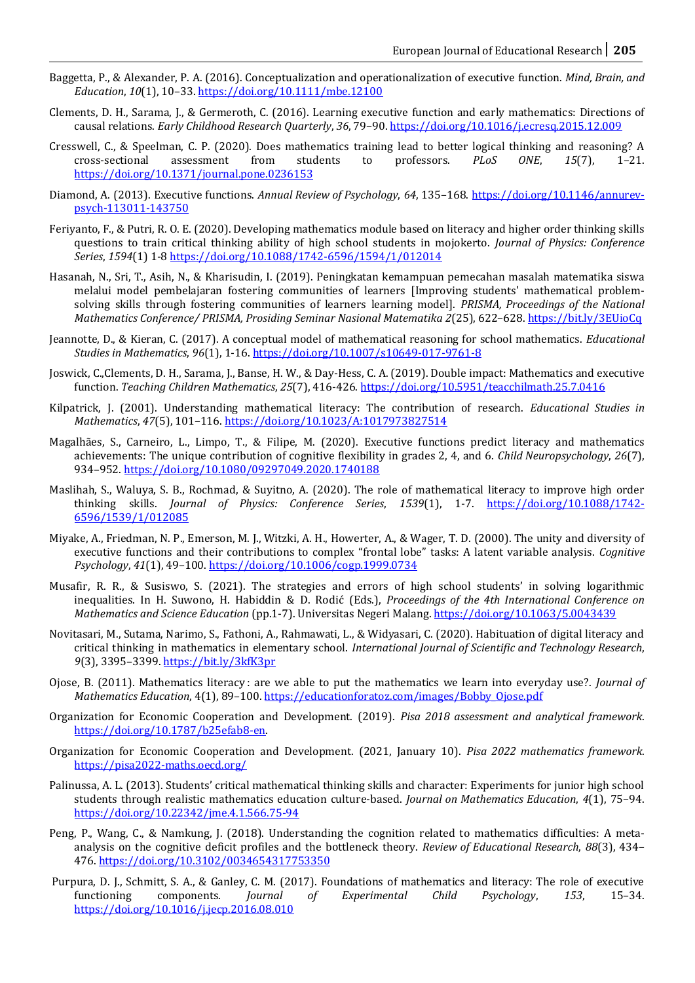- Baggetta, P., & Alexander, P. A. (2016). Conceptualization and operationalization of executive function. *Mind, Brain, and Education*, *10*(1), 10–33.<https://doi.org/10.1111/mbe.12100>
- Clements, D. H., Sarama, J., & Germeroth, C. (2016). Learning executive function and early mathematics: Directions of causal relations. *Early Childhood Research Quarterly*, *36*, 79–90[. https://doi.org/10.1016/j.ecresq.2015.12.009](https://doi.org/10.1016/j.ecresq.2015.12.009)
- Cresswell, C., & Speelman, C. P. (2020). Does mathematics training lead to better logical thinking and reasoning? A cross-sectional assessment from students to professors. *PLoS ONE*, *15*(7), 1–21. <https://doi.org/10.1371/journal.pone.0236153>
- Diamond, A. (2013). Executive functions. *Annual Review of Psychology*, *64*, 135–168. [https://doi.org/10.1146/annurev](https://doi.org/10.1146/annurev-psych-113011-143750)[psych-113011-143750](https://doi.org/10.1146/annurev-psych-113011-143750)
- Feriyanto, F., & Putri, R. O. E. (2020). Developing mathematics module based on literacy and higher order thinking skills questions to train critical thinking ability of high school students in mojokerto. *Journal of Physics: Conference Series*, *1594*(1) 1-8<https://doi.org/10.1088/1742-6596/1594/1/012014>
- Hasanah, N., Sri, T., Asih, N., & Kharisudin, I. (2019). Peningkatan kemampuan pemecahan masalah matematika siswa melalui model pembelajaran fostering communities of learners [Improving students' mathematical problemsolving skills through fostering communities of learners learning model]. *PRISMA, Proceedings of the National Mathematics Conference/ PRISMA, Prosiding Seminar Nasional Matematika 2*(25), 622–628[. https://bit.ly/3EUioCq](https://bit.ly/3EUioCq)
- Jeannotte, D., & Kieran, C. (2017). A conceptual model of mathematical reasoning for school mathematics. *Educational Studies in Mathematics*, *96*(1), 1-16.<https://doi.org/10.1007/s10649-017-9761-8>
- Joswick, C.,Clements, D. H., Sarama, J., Banse, H. W., & Day-Hess, C. A. (2019). Double impact: Mathematics and executive function. *Teaching Children Mathematics*, *25*(7), 416-426.<https://doi.org/10.5951/teacchilmath.25.7.0416>
- Kilpatrick, J. (2001). Understanding mathematical literacy: The contribution of research. *Educational Studies in Mathematics*, *47*(5), 101–116[. https://doi.org/10.1023/A:1017973827514](https://doi.org/10.1023/A:1017973827514)
- Magalhães, S., Carneiro, L., Limpo, T., & Filipe, M. (2020). Executive functions predict literacy and mathematics achievements: The unique contribution of cognitive flexibility in grades 2, 4, and 6. *Child Neuropsychology*, *26*(7), 934–952[. https://doi.org/10.1080/09297049.2020.1740188](https://doi.org/10.1080/09297049.2020.1740188)
- Maslihah, S., Waluya, S. B., Rochmad, & Suyitno, A. (2020). The role of mathematical literacy to improve high order thinking skills. *Journal of Physics: Conference Series*, *1539*(1), 1-7. [https://doi.org/10.1088/1742-](https://doi.org/10.1088/1742-6596/1539/1/012085) [6596/1539/1/012085](https://doi.org/10.1088/1742-6596/1539/1/012085)
- Miyake, A., Friedman, N. P., Emerson, M. J., Witzki, A. H., Howerter, A., & Wager, T. D. (2000). The unity and diversity of executive functions and their contributions to complex "frontal lobe" tasks: A latent variable analysis. *Cognitive Psychology*, *41*(1), 49–100[. https://doi.org/10.1006/cogp.1999.0734](https://doi.org/10.1006/cogp.1999.0734)
- Musafir, R. R., & Susiswo, S. (2021). The strategies and errors of high school students' in solving logarithmic inequalities. In H. Suwono, H. Habiddin & D. Rodić (Eds.), *Proceedings of the 4th International Conference on Mathematics and Science Education* (pp.1-7). Universitas Negeri Malang.<https://doi.org/10.1063/5.0043439>
- Novitasari, M., Sutama, Narimo, S., Fathoni, A., Rahmawati, L., & Widyasari, C. (2020). Habituation of digital literacy and critical thinking in mathematics in elementary school. *International Journal of Scientific and Technology Research*, *9*(3), 3395–3399[. https://bit.ly/3kfK3pr](https://bit.ly/3kfK3pr)
- Ojose, B. (2011). Mathematics literacy : are we able to put the mathematics we learn into everyday use?. *Journal of Mathematics Education*, 4(1), 89–100[. https://educationforatoz.com/images/Bobby\\_Ojose.pdf](https://educationforatoz.com/images/Bobby_Ojose.pdf)
- Organization for Economic Cooperation and Development. (2019). *Pisa 2018 assessment and analytical framework*. [https://doi.org/10.1787/b25efab8-en.](https://doi.org/10.1787/b25efab8-en)
- Organization for Economic Cooperation and Development. (2021, January 10). *Pisa 2022 mathematics framework*. <https://pisa2022-maths.oecd.org/>
- Palinussa, A. L. (2013). Students' critical mathematical thinking skills and character: Experiments for junior high school students through realistic mathematics education culture-based. *Journal on Mathematics Education*, *4*(1), 75–94. <https://doi.org/10.22342/jme.4.1.566.75-94>
- Peng, P., Wang, C., & Namkung, J. (2018). Understanding the cognition related to mathematics difficulties: A metaanalysis on the cognitive deficit profiles and the bottleneck theory. *Review of Educational Research*, *88*(3), 434– 476[. https://doi.org/10.3102/0034654317753350](https://doi.org/10.3102/0034654317753350)
- Purpura, D. J., Schmitt, S. A., & Ganley, C. M. (2017). Foundations of mathematics and literacy: The role of executive functioning components. *Journal of Experimental Child Psychology*, *153*, 15–34. <https://doi.org/10.1016/j.jecp.2016.08.010>